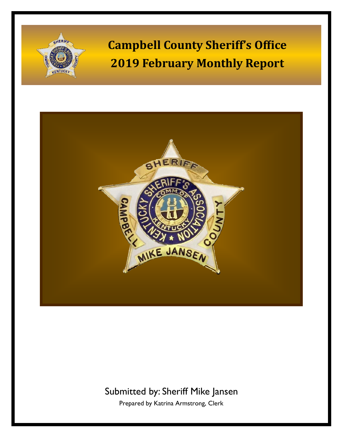



## Submitted by: Sheriff Mike Jansen

Prepared by Katrina Armstrong, Clerk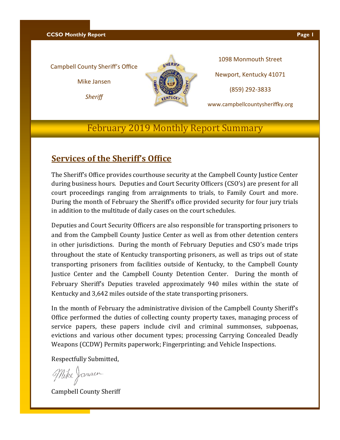**CCSO Monthly Report Page 1** 

#### Campbell County Sheriff's Office

Mike Jansen

*Sheriff*



1098 Monmouth Street Newport, Kentucky 41071 (859) 292-3833

www.campbellcountysheriffky.org

## February 2019 Monthly Report Summary

### **Services of the Sheriff's Office**

The Sheriff's Office provides courthouse security at the Campbell County Justice Center during business hours. Deputies and Court Security Officers (CSO's) are present for all court proceedings ranging from arraignments to trials, to Family Court and more. During the month of February the Sheriff's office provided security for four jury trials in addition to the multitude of daily cases on the court schedules.

Deputies and Court Security Officers are also responsible for transporting prisoners to and from the Campbell County Justice Center as well as from other detention centers in other jurisdictions. During the month of February Deputies and CSO's made trips throughout the state of Kentucky transporting prisoners, as well as trips out of state transporting prisoners from facilities outside of Kentucky, to the Campbell County Justice Center and the Campbell County Detention Center. During the month of February Sheriff's Deputies traveled approximately 940 miles within the state of Kentucky and 3,642 miles outside of the state transporting prisoners.

In the month of February the administrative division of the Campbell County Sheriff's Office performed the duties of collecting county property taxes, managing process of service papers, these papers include civil and criminal summonses, subpoenas, evictions and various other document types; processing Carrying Concealed Deadly Weapons (CCDW) Permits paperwork; Fingerprinting; and Vehicle Inspections.

Respectfully Submitted,

Mike Jamsen

Campbell County Sheriff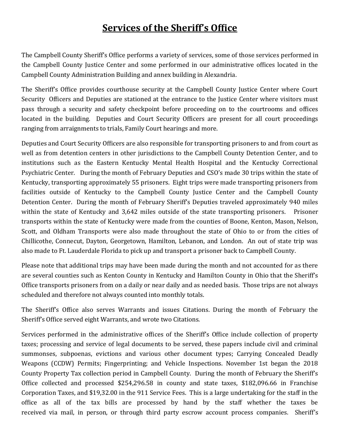## **Services of the Sheriff's Office**

The Campbell County Sheriff's Office performs a variety of services, some of those services performed in the Campbell County Justice Center and some performed in our administrative offices located in the Campbell County Administration Building and annex building in Alexandria.

The Sheriff's Office provides courthouse security at the Campbell County Justice Center where Court Security Officers and Deputies are stationed at the entrance to the Justice Center where visitors must pass through a security and safety checkpoint before proceeding on to the courtrooms and offices located in the building. Deputies and Court Security Officers are present for all court proceedings ranging from arraignments to trials, Family Court hearings and more.

Deputies and Court Security Officers are also responsible for transporting prisoners to and from court as well as from detention centers in other jurisdictions to the Campbell County Detention Center, and to institutions such as the Eastern Kentucky Mental Health Hospital and the Kentucky Correctional Psychiatric Center. During the month of February Deputies and CSO's made 30 trips within the state of Kentucky, transporting approximately 55 prisoners. Eight trips were made transporting prisoners from facilities outside of Kentucky to the Campbell County Justice Center and the Campbell County Detention Center. During the month of February Sheriff's Deputies traveled approximately 940 miles within the state of Kentucky and 3,642 miles outside of the state transporting prisoners. Prisoner transports within the state of Kentucky were made from the counties of Boone, Kenton, Mason, Nelson, Scott, and Oldham Transports were also made throughout the state of Ohio to or from the cities of Chillicothe, Connecut, Dayton, Georgetown, Hamilton, Lebanon, and London. An out of state trip was also made to Ft. Lauderdale Florida to pick up and transport a prisoner back to Campbell County.

Please note that additional trips may have been made during the month and not accounted for as there are several counties such as Kenton County in Kentucky and Hamilton County in Ohio that the Sheriff's Office transports prisoners from on a daily or near daily and as needed basis. Those trips are not always scheduled and therefore not always counted into monthly totals.

The Sheriff's Office also serves Warrants and issues Citations. During the month of February the Sheriff's Office served eight Warrants, and wrote two Citations.

Services performed in the administrative offices of the Sheriff's Office include collection of property taxes; processing and service of legal documents to be served, these papers include civil and criminal summonses, subpoenas, evictions and various other document types; Carrying Concealed Deadly Weapons (CCDW) Permits; Fingerprinting; and Vehicle Inspections. November 1st began the 2018 County Property Tax collection period in Campbell County. During the month of February the Sheriff's Office collected and processed \$254,296.58 in county and state taxes, \$182,096.66 in Franchise Corporation Taxes, and \$19,32.00 in the 911 Service Fees. This is a large undertaking for the staff in the office as all of the tax bills are processed by hand by the staff whether the taxes be received via mail, in person, or through third party escrow account process companies. Sheriff's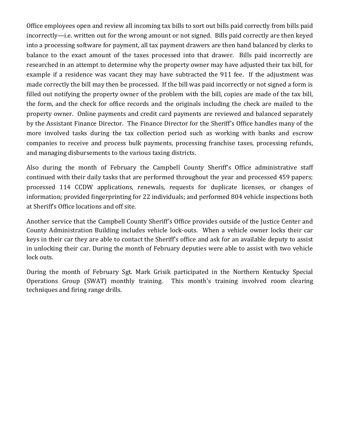Office employees open and review all incoming tax bills to sort out bills paid correctly from bills paid incorrectly—i.e. written out for the wrong amount or not signed. Bills paid correctly are then keyed into a processing software for payment, all tax payment drawers are then hand balanced by clerks to balance to the exact amount of the taxes processed into that drawer. Bills paid incorrectly are researched in an attempt to determine why the property owner may have adjusted their tax bill, for example if a residence was vacant they may have subtracted the 911 fee. If the adjustment was made correctly the bill may then be processed. If the bill was paid incorrectly or not signed a form is filled out notifying the property owner of the problem with the bill, copies are made of the tax bill, the form, and the check for office records and the originals including the check are mailed to the property owner. Online payments and credit card payments are reviewed and balanced separately by the Assistant Finance Director. The Finance Director for the Sheriff's Office handles many of the more involved tasks during the tax collection period such as working with banks and escrow companies to receive and process bulk payments, processing franchise taxes, processing refunds, and managing disbursements to the various taxing districts.

Also during the month of February the Campbell County Sheriff's Office administrative staff continued with their daily tasks that are performed throughout the year and processed 459 papers; processed 114 CCDW applications, renewals, requests for duplicate licenses, or changes of information; provided fingerprinting for 22 individuals; and performed 804 vehicle inspections both at Sheriff's Office locations and off site.

Another service that the Campbell County Sheriff's Office provides outside of the Justice Center and County Administration Building includes vehicle lock-outs. When a vehicle owner locks their car keys in their car they are able to contact the Sheriff's office and ask for an available deputy to assist in unlocking their car. During the month of February deputies were able to assist with two vehicle lock outs.

During the month of February Sgt. Mark Grisik participated in the Northern Kentucky Special Operations Group (SWAT) monthly training. This month's training involved room clearing techniques and firing range drills.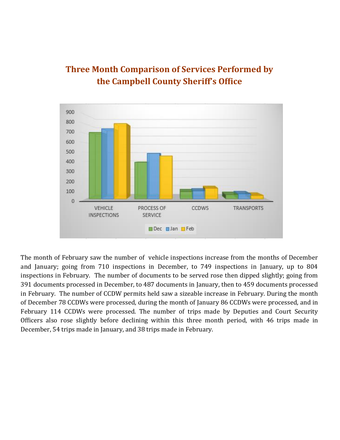

## **Three Month Comparison of Services Performed by the Campbell County Sheriff's Office**

The month of February saw the number of vehicle inspections increase from the months of December and January; going from 710 inspections in December, to 749 inspections in January, up to 804 inspections in February. The number of documents to be served rose then dipped slightly; going from 391 documents processed in December, to 487 documents in January, then to 459 documents processed in February. The number of CCDW permits held saw a sizeable increase in February. During the month of December 78 CCDWs were processed, during the month of January 86 CCDWs were processed, and in February 114 CCDWs were processed. The number of trips made by Deputies and Court Security Officers also rose slightly before declining within this three month period, with 46 trips made in December, 54 trips made in January, and 38 trips made in February.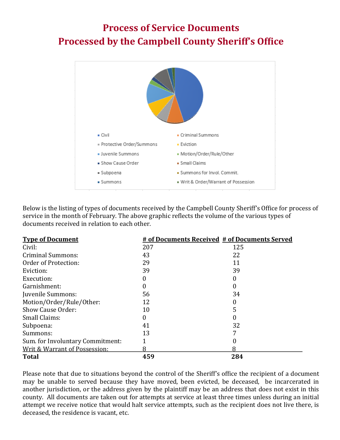# **Process of Service Documents Processed by the Campbell County Sheriff's Office**



Below is the listing of types of documents received by the Campbell County Sheriff's Office for process of service in the month of February. The above graphic reflects the volume of the various types of documents received in relation to each other.

| <b>Type of Document</b>          |     | # of Documents Received # of Documents Served |
|----------------------------------|-----|-----------------------------------------------|
| Civil:                           | 207 | 125                                           |
| <b>Criminal Summons:</b>         | 43  | 22                                            |
| Order of Protection:             | 29  | 11                                            |
| Eviction:                        | 39  | 39                                            |
| Execution:                       |     |                                               |
| Garnishment:                     |     |                                               |
| Juvenile Summons:                | 56  | 34                                            |
| Motion/Order/Rule/Other:         | 12  |                                               |
| Show Cause Order:                | 10  |                                               |
| Small Claims:                    |     |                                               |
| Subpoena:                        | 41  | 32                                            |
| Summons:                         | 13  |                                               |
| Sum. for Involuntary Commitment: |     |                                               |
| Writ & Warrant of Possession:    | 8   |                                               |
| <b>Total</b>                     | 459 | 284                                           |

Please note that due to situations beyond the control of the Sheriff's office the recipient of a document may be unable to served because they have moved, been evicted, be deceased, be incarcerated in another jurisdiction, or the address given by the plaintiff may be an address that does not exist in this county. All documents are taken out for attempts at service at least three times unless during an initial attempt we receive notice that would halt service attempts, such as the recipient does not live there, is deceased, the residence is vacant, etc.